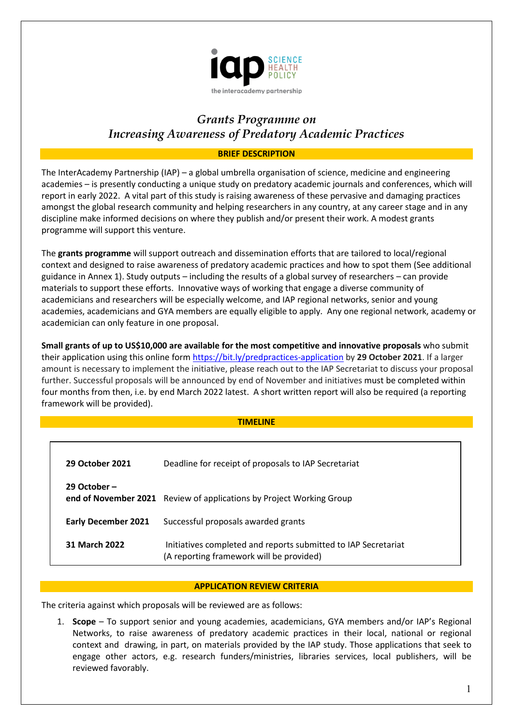

# *Grants Programme on Increasing Awareness of Predatory Academic Practices*

# **BRIEF DESCRIPTION**

The InterAcademy Partnership (IAP) – a global umbrella organisation of science, medicine and engineering academies – is presently conducting a unique study on predatory academic journals and conferences, which will report in early 2022. A vital part of this study is raising awareness of these pervasive and damaging practices amongst the global research community and helping researchers in any country, at any career stage and in any discipline make informed decisions on where they publish and/or present their work. A modest grants programme will support this venture.

The **grants programme** will support outreach and dissemination efforts that are tailored to local/regional context and designed to raise awareness of predatory academic practices and how to spot them (See additional guidance in Annex 1). Study outputs – including the results of a global survey of researchers – can provide materials to support these efforts. Innovative ways of working that engage a diverse community of academicians and researchers will be especially welcome, and IAP regional networks, senior and young academies, academicians and GYA members are equally eligible to apply. Any one regional network, academy or academician can only feature in one proposal.

**Small grants of up to US\$10,000 are available for the most competitive and innovative proposals** who submit their application using this online for[m https://bit.ly/predpractices-application](https://bit.ly/predpractices-application) by **29 October 2021**. If a larger amount is necessary to implement the initiative, please reach out to the IAP Secretariat to discuss your proposal further. Successful proposals will be announced by end of November and initiatives must be completed within four months from then, i.e. by end March 2022 latest. A short written report will also be required (a reporting framework will be provided).

#### **TIMELINE**

| 29 October 2021            | Deadline for receipt of proposals to IAP Secretariat                                                       |
|----------------------------|------------------------------------------------------------------------------------------------------------|
| 29 October –               | end of November 2021 Review of applications by Project Working Group                                       |
| <b>Early December 2021</b> | Successful proposals awarded grants                                                                        |
| 31 March 2022              | Initiatives completed and reports submitted to IAP Secretariat<br>(A reporting framework will be provided) |

## **APPLICATION REVIEW CRITERIA**

The criteria against which proposals will be reviewed are as follows:

1. **Scope** – To support senior and young academies, academicians, GYA members and/or IAP's Regional Networks, to raise awareness of predatory academic practices in their local, national or regional context and drawing, in part, on materials provided by the IAP study. Those applications that seek to engage other actors, e.g. research funders/ministries, libraries services, local publishers, will be reviewed favorably.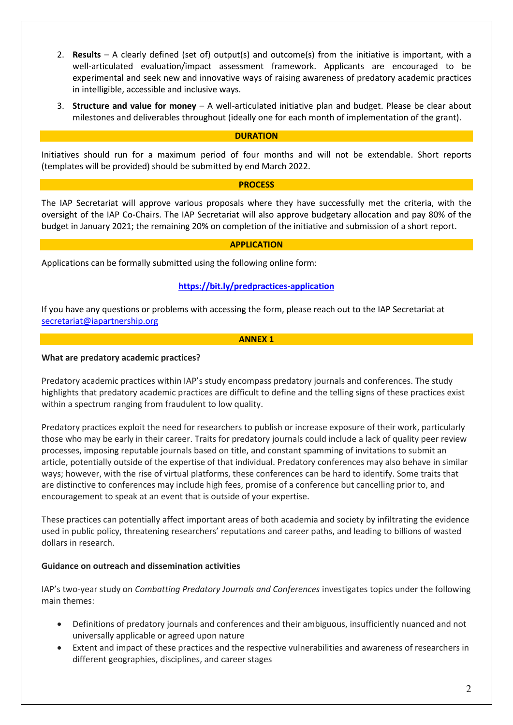- 2. **Results** A clearly defined (set of) output(s) and outcome(s) from the initiative is important, with a well-articulated evaluation/impact assessment framework. Applicants are encouraged to be experimental and seek new and innovative ways of raising awareness of predatory academic practices in intelligible, accessible and inclusive ways.
- 3. **Structure and value for money** A well-articulated initiative plan and budget. Please be clear about milestones and deliverables throughout (ideally one for each month of implementation of the grant).

## **DURATION**

Initiatives should run for a maximum period of four months and will not be extendable. Short reports (templates will be provided) should be submitted by end March 2022.

## **PROCESS**

The IAP Secretariat will approve various proposals where they have successfully met the criteria, with the oversight of the IAP Co-Chairs. The IAP Secretariat will also approve budgetary allocation and pay 80% of the budget in January 2021; the remaining 20% on completion of the initiative and submission of a short report.

### **APPLICATION**

Applications can be formally submitted using the following online form:

# **<https://bit.ly/predpractices-application>**

If you have any questions or problems with accessing the form, please reach out to the IAP Secretariat at [secretariat@iapartnership.org](mailto:secretariat@iapartnership.org)

#### **ANNEX 1**

### **What are predatory academic practices?**

Predatory academic practices within IAP's study encompass predatory journals and conferences. The study highlights that predatory academic practices are difficult to define and the telling signs of these practices exist within a spectrum ranging from fraudulent to low quality.

Predatory practices exploit the need for researchers to publish or increase exposure of their work, particularly those who may be early in their career. Traits for predatory journals could include a lack of quality peer review processes, imposing reputable journals based on title, and constant spamming of invitations to submit an article, potentially outside of the expertise of that individual. Predatory conferences may also behave in similar ways; however, with the rise of virtual platforms, these conferences can be hard to identify. Some traits that are distinctive to conferences may include high fees, promise of a conference but cancelling prior to, and encouragement to speak at an event that is outside of your expertise.

These practices can potentially affect important areas of both academia and society by infiltrating the evidence used in public policy, threatening researchers' reputations and career paths, and leading to billions of wasted dollars in research.

## **Guidance on outreach and dissemination activities**

IAP's two-year study on *Combatting Predatory Journals and Conferences* investigates topics under the following main themes:

- Definitions of predatory journals and conferences and their ambiguous, insufficiently nuanced and not universally applicable or agreed upon nature
- Extent and impact of these practices and the respective vulnerabilities and awareness of researchers in different geographies, disciplines, and career stages